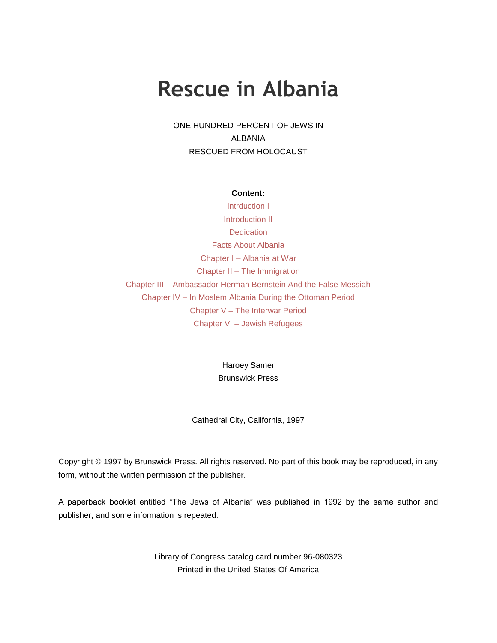# **Rescue in Albania**

ONE HUNDRED PERCENT OF JEWS IN ALBANIA RESCUED FROM HOLOCAUST

### **Content:**

[Intrduction I](https://web.archive.org/web/20111106094033/http:/blog.aacl.com/rescue-in-albania/rescue-in-albania-introduction/) [Introduction II](https://web.archive.org/web/20111106094033/http:/blog.aacl.com/rescue-in-albania/introduction-1/) **[Dedication](https://web.archive.org/web/20111106094033/http:/blog.aacl.com/rescue-in-albania/rescue-in-albania-dedicated-to/)** [Facts About Albania](https://web.archive.org/web/20111106094033/http:/blog.aacl.com/rescue-in-albania/facts-about-albania/) Chapter I – [Albania at War](https://web.archive.org/web/20111106094033/http:/blog.aacl.com/rescue-in-albania/chapter-one/) Chapter II – [The Immigration](https://web.archive.org/web/20111106094033/http:/blog.aacl.com/rescue-in-albania/chapter-two/) Chapter III – [Ambassador Herman Bernstein And the False Messiah](https://web.archive.org/web/20111106094033/http:/blog.aacl.com/rescue-in-albania/chapter-three/) Chapter IV – [In Moslem Albania During the Ottoman Period](https://web.archive.org/web/20111106094033/http:/blog.aacl.com/rescue-in-albania/chapter-four/) Chapter V – [The Interwar Period](https://web.archive.org/web/20111106094033/http:/blog.aacl.com/rescue-in-albania/chapter-five/) Chapter VI – [Jewish Refugees](https://web.archive.org/web/20111106094033/http:/blog.aacl.com/rescue-in-albania/chapter-six/)

> Haroey Samer Brunswick Press

Cathedral City, California, 1997

Copyright © 1997 by Brunswick Press. All rights reserved. No part of this book may be reproduced, in any form, without the written permission of the publisher.

A paperback booklet entitled "The Jews of Albania" was published in 1992 by the same author and publisher, and some information is repeated.

> Library of Congress catalog card number 96-080323 Printed in the United States Of America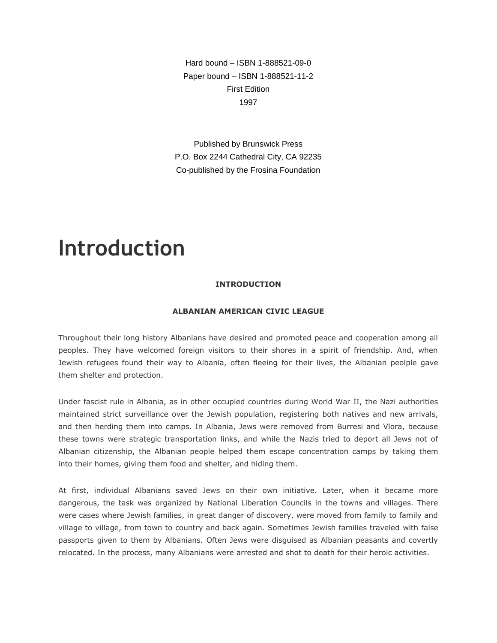Hard bound – ISBN 1-888521-09-0 Paper bound – ISBN 1-888521-11-2 First Edition 1997

Published by Brunswick Press P.O. Box 2244 Cathedral City, CA 92235 Co-published by the Frosina Foundation

## **Introduction**

### **INTRODUCTION**

### **ALBANIAN AMERICAN CIVIC LEAGUE**

Throughout their long history Albanians have desired and promoted peace and cooperation among all peoples. They have welcomed foreign visitors to their shores in a spirit of friendship. And, when Jewish refugees found their way to Albania, often fleeing for their lives, the Albanian peolple gave them shelter and protection.

Under fascist rule in Albania, as in other occupied countries during World War II, the Nazi authorities maintained strict surveillance over the Jewish population, registering both natives and new arrivals, and then herding them into camps. In Albania, Jews were removed from Burresi and Vlora, because these towns were strategic transportation links, and while the Nazis tried to deport all Jews not of Albanian citizenship, the Albanian people helped them escape concentration camps by taking them into their homes, giving them food and shelter, and hiding them.

At first, individual Albanians saved Jews on their own initiative. Later, when it became more dangerous, the task was organized by National Liberation Councils in the towns and villages. There were cases where Jewish families, in great danger of discovery, were moved from family to family and village to village, from town to country and back again. Sometimes Jewish families traveled with false passports given to them by Albanians. Often Jews were disguised as Albanian peasants and covertly relocated. In the process, many Albanians were arrested and shot to death for their heroic activities.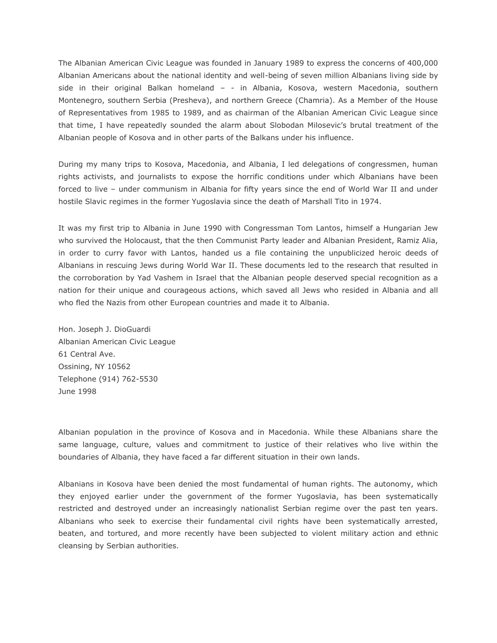The Albanian American Civic League was founded in January 1989 to express the concerns of 400,000 Albanian Americans about the national identity and well-being of seven million Albanians living side by side in their original Balkan homeland - - in Albania, Kosova, western Macedonia, southern Montenegro, southern Serbia (Presheva), and northern Greece (Chamria). As a Member of the House of Representatives from 1985 to 1989, and as chairman of the Albanian American Civic League since that time, I have repeatedly sounded the alarm about Slobodan Milosevic's brutal treatment of the Albanian people of Kosova and in other parts of the Balkans under his influence.

During my many trips to Kosova, Macedonia, and Albania, I led delegations of congressmen, human rights activists, and journalists to expose the horrific conditions under which Albanians have been forced to live – under communism in Albania for fifty years since the end of World War II and under hostile Slavic regimes in the former Yugoslavia since the death of Marshall Tito in 1974.

It was my first trip to Albania in June 1990 with Congressman Tom Lantos, himself a Hungarian Jew who survived the Holocaust, that the then Communist Party leader and Albanian President, Ramiz Alia, in order to curry favor with Lantos, handed us a file containing the unpublicized heroic deeds of Albanians in rescuing Jews during World War II. These documents led to the research that resulted in the corroboration by Yad Vashem in Israel that the Albanian people deserved special recognition as a nation for their unique and courageous actions, which saved all Jews who resided in Albania and all who fled the Nazis from other European countries and made it to Albania.

Hon. Joseph J. DioGuardi Albanian American Civic League 61 Central Ave. Ossining, NY 10562 Telephone (914) 762-5530 June 1998

Albanian population in the province of Kosova and in Macedonia. While these Albanians share the same language, culture, values and commitment to justice of their relatives who live within the boundaries of Albania, they have faced a far different situation in their own lands.

Albanians in Kosova have been denied the most fundamental of human rights. The autonomy, which they enjoyed earlier under the government of the former Yugoslavia, has been systematically restricted and destroyed under an increasingly nationalist Serbian regime over the past ten years. Albanians who seek to exercise their fundamental civil rights have been systematically arrested, beaten, and tortured, and more recently have been subjected to violent military action and ethnic cleansing by Serbian authorities.